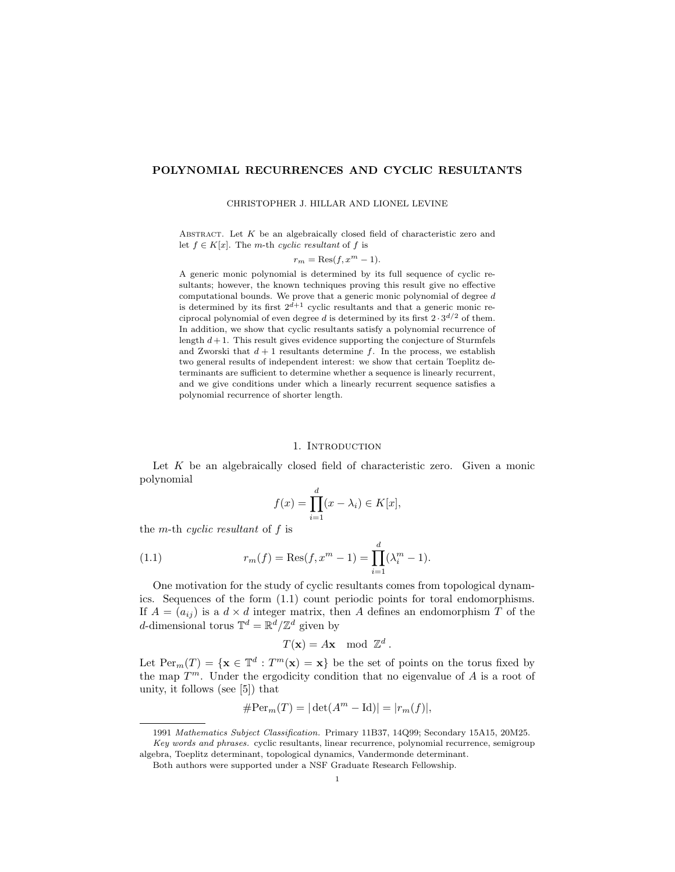## POLYNOMIAL RECURRENCES AND CYCLIC RESULTANTS

#### CHRISTOPHER J. HILLAR AND LIONEL LEVINE

ABSTRACT. Let  $K$  be an algebraically closed field of characteristic zero and let  $f \in K[x]$ . The *m*-th cyclic resultant of f is

$$
r_m = \text{Res}(f, x^m - 1).
$$

A generic monic polynomial is determined by its full sequence of cyclic resultants; however, the known techniques proving this result give no effective computational bounds. We prove that a generic monic polynomial of degree *d* is determined by its first  $2^{d+1}$  cyclic resultants and that a generic monic reciprocal polynomial of even degree *d* is determined by its first  $2 \cdot 3^{d/2}$  of them. In addition, we show that cyclic resultants satisfy a polynomial recurrence of length  $d+1$ . This result gives evidence supporting the conjecture of Sturmfels and Zworski that  $d+1$  resultants determine  $f$ . In the process, we establish two general results of independent interest: we show that certain Toeplitz determinants are sufficient to determine whether a sequence is linearly recurrent, and we give conditions under which a linearly recurrent sequence satisfies a polynomial recurrence of shorter length.

### 1. INTRODUCTION

Let  $K$  be an algebraically closed field of characteristic zero. Given a monic polynomial

$$
f(x) = \prod_{i=1}^{d} (x - \lambda_i) \in K[x],
$$

the m-th cyclic resultant of f is

(1.1) 
$$
r_m(f) = \text{Res}(f, x^m - 1) = \prod_{i=1}^d (\lambda_i^m - 1).
$$

One motivation for the study of cyclic resultants comes from topological dynamics. Sequences of the form (1.1) count periodic points for toral endomorphisms. If  $A = (a_{ij})$  is a  $d \times d$  integer matrix, then A defines an endomorphism T of the d-dimensional torus  $\mathbb{T}^d = \mathbb{R}^d / \mathbb{Z}^d$  given by

$$
T(\mathbf{x}) = A\mathbf{x} \mod \mathbb{Z}^d.
$$

Let  $\text{Per}_m(T) = {\mathbf{x} \in \mathbb{T}^d : T^m(\mathbf{x}) = \mathbf{x}}$  be the set of points on the torus fixed by the map  $T^m$ . Under the ergodicity condition that no eigenvalue of A is a root of unity, it follows (see [5]) that

$$
\#\text{Per}_m(T) = |\det(A^m - \mathrm{Id})| = |r_m(f)|,
$$

<sup>1991</sup> Mathematics Subject Classification. Primary 11B37, 14Q99; Secondary 15A15, 20M25.

Key words and phrases. cyclic resultants, linear recurrence, polynomial recurrence, semigroup algebra, Toeplitz determinant, topological dynamics, Vandermonde determinant.

Both authors were supported under a NSF Graduate Research Fellowship.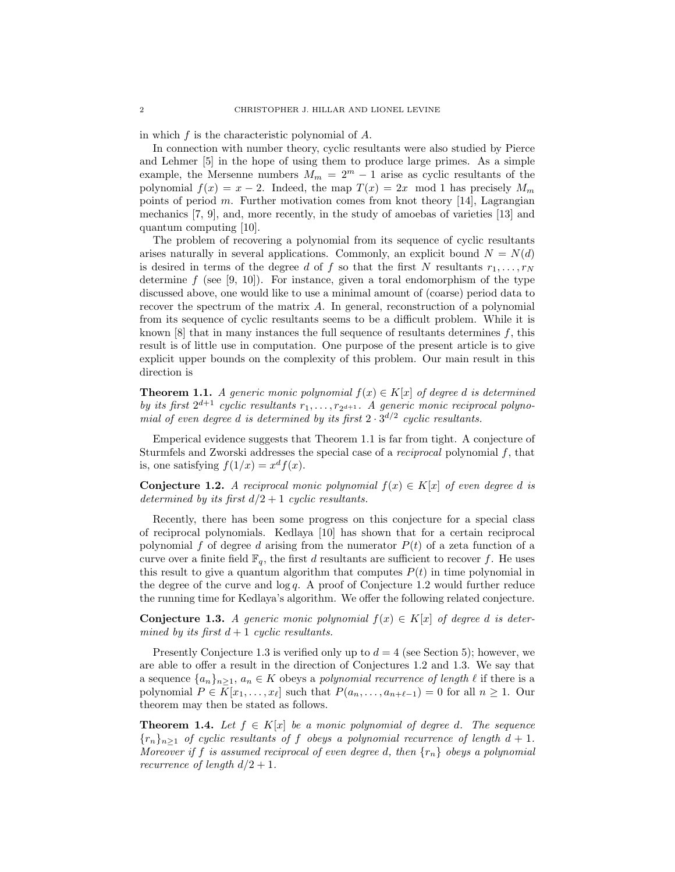in which f is the characteristic polynomial of A.

In connection with number theory, cyclic resultants were also studied by Pierce and Lehmer [5] in the hope of using them to produce large primes. As a simple example, the Mersenne numbers  $M_m = 2^m - 1$  arise as cyclic resultants of the polynomial  $f(x) = x - 2$ . Indeed, the map  $T(x) = 2x \mod 1$  has precisely  $M_m$ points of period m. Further motivation comes from knot theory  $[14]$ , Lagrangian mechanics [7, 9], and, more recently, in the study of amoebas of varieties [13] and quantum computing [10].

The problem of recovering a polynomial from its sequence of cyclic resultants arises naturally in several applications. Commonly, an explicit bound  $N = N(d)$ is desired in terms of the degree d of f so that the first N resultants  $r_1, \ldots, r_N$ determine  $f$  (see [9, 10]). For instance, given a toral endomorphism of the type discussed above, one would like to use a minimal amount of (coarse) period data to recover the spectrum of the matrix A. In general, reconstruction of a polynomial from its sequence of cyclic resultants seems to be a difficult problem. While it is known  $[8]$  that in many instances the full sequence of resultants determines f, this result is of little use in computation. One purpose of the present article is to give explicit upper bounds on the complexity of this problem. Our main result in this direction is

**Theorem 1.1.** A generic monic polynomial  $f(x) \in K[x]$  of degree d is determined by its first  $2^{d+1}$  cyclic resultants  $r_1, \ldots, r_{2^{d+1}}$ . A generic monic reciprocal polynomial of even degree d is determined by its first  $2 \cdot 3^{d/2}$  cyclic resultants.

Emperical evidence suggests that Theorem 1.1 is far from tight. A conjecture of Sturmfels and Zworski addresses the special case of a *reciprocal* polynomial  $f$ , that is, one satisfying  $f(1/x) = x<sup>d</sup> f(x)$ .

Conjecture 1.2. A reciprocal monic polynomial  $f(x) \in K[x]$  of even degree d is determined by its first  $d/2 + 1$  cyclic resultants.

Recently, there has been some progress on this conjecture for a special class of reciprocal polynomials. Kedlaya [10] has shown that for a certain reciprocal polynomial f of degree d arising from the numerator  $P(t)$  of a zeta function of a curve over a finite field  $\mathbb{F}_q$ , the first d resultants are sufficient to recover f. He uses this result to give a quantum algorithm that computes  $P(t)$  in time polynomial in the degree of the curve and  $\log q$ . A proof of Conjecture 1.2 would further reduce the running time for Kedlaya's algorithm. We offer the following related conjecture.

**Conjecture 1.3.** A generic monic polynomial  $f(x) \in K[x]$  of degree d is determined by its first  $d+1$  cyclic resultants.

Presently Conjecture 1.3 is verified only up to  $d = 4$  (see Section 5); however, we are able to offer a result in the direction of Conjectures 1.2 and 1.3. We say that a sequence  $\{a_n\}_{n\geq 1}$ ,  $a_n \in K$  obeys a polynomial recurrence of length  $\ell$  if there is a polynomial  $P \in K[x_1, \ldots, x_\ell]$  such that  $P(a_n, \ldots, a_{n+\ell-1}) = 0$  for all  $n \ge 1$ . Our theorem may then be stated as follows.

**Theorem 1.4.** Let  $f \in K[x]$  be a monic polynomial of degree d. The sequence  ${r_n}_{n \geq 1}$  of cyclic resultants of f obeys a polynomial recurrence of length  $d+1$ . Moreover if f is assumed reciprocal of even degree d, then  $\{r_n\}$  obeys a polynomial recurrence of length  $d/2 + 1$ .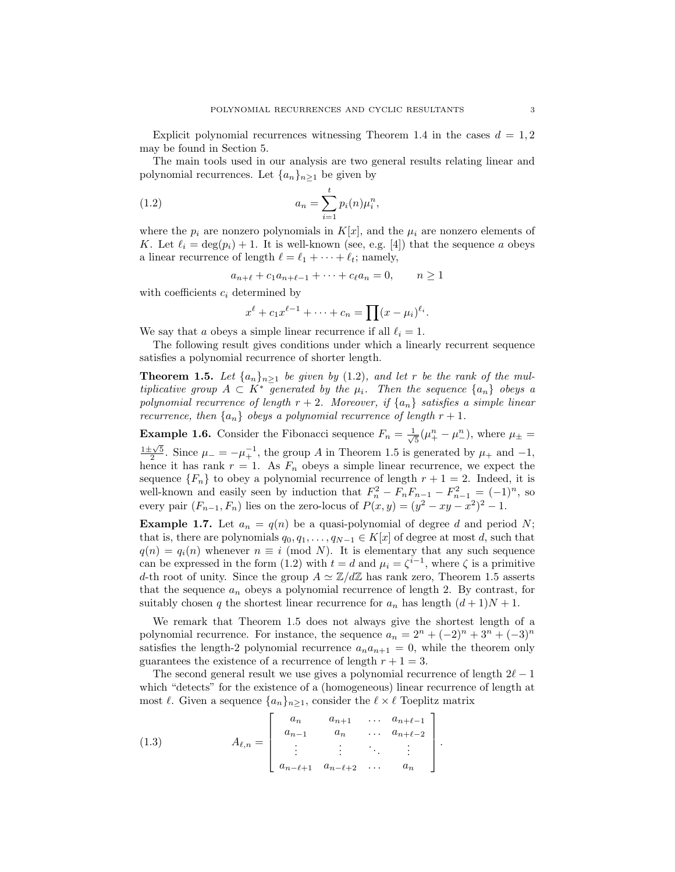Explicit polynomial recurrences witnessing Theorem 1.4 in the cases  $d = 1, 2$ may be found in Section 5.

The main tools used in our analysis are two general results relating linear and polynomial recurrences. Let  $\{a_n\}_{n>1}$  be given by

(1.2) 
$$
a_n = \sum_{i=1}^t p_i(n) \mu_i^n,
$$

where the  $p_i$  are nonzero polynomials in  $K[x]$ , and the  $\mu_i$  are nonzero elements of K. Let  $\ell_i = \deg(p_i) + 1$ . It is well-known (see, e.g. [4]) that the sequence a obeys a linear recurrence of length  $\ell = \ell_1 + \cdots + \ell_t$ ; namely,

$$
a_{n+\ell} + c_1 a_{n+\ell-1} + \dots + c_\ell a_n = 0, \qquad n \ge 1
$$

with coefficients  $c_i$  determined by

$$
x^{\ell}+c_1x^{\ell-1}+\cdots+c_n=\prod(x-\mu_i)^{\ell_i}.
$$

We say that a obeys a simple linear recurrence if all  $\ell_i = 1$ .

The following result gives conditions under which a linearly recurrent sequence satisfies a polynomial recurrence of shorter length.

**Theorem 1.5.** Let  $\{a_n\}_{n\geq 1}$  be given by (1.2), and let r be the rank of the multiplicative group  $A \subset K^*$  generated by the  $\mu_i$ . Then the sequence  $\{a_n\}$  obeys a polynomial recurrence of length  $r + 2$ . Moreover, if  $\{a_n\}$  satisfies a simple linear recurrence, then  $\{a_n\}$  obeys a polynomial recurrence of length  $r + 1$ .

**Example 1.6.** Consider the Fibonacci sequence  $F_n = \frac{1}{\sqrt{5}}(\mu_+^n - \mu_-^n)$ , where  $\mu_{\pm} =$  $\frac{1\pm\sqrt{5}}{2}$ . Since  $\mu_- = -\mu_+^{-1}$ , the group A in Theorem 1.5 is generated by  $\mu_+$  and  $-1$ , hence it has rank  $r = 1$ . As  $F_n$  obeys a simple linear recurrence, we expect the sequence  ${F_n}$  to obey a polynomial recurrence of length  $r + 1 = 2$ . Indeed, it is well-known and easily seen by induction that  $F_n^2 - F_nF_{n-1} - F_{n-1}^2 = (-1)^n$ , so every pair  $(F_{n-1}, F_n)$  lies on the zero-locus of  $P(x, y) = (y^2 - xy - x^2)^2 - 1$ .

**Example 1.7.** Let  $a_n = q(n)$  be a quasi-polynomial of degree d and period N; that is, there are polynomials  $q_0, q_1, \ldots, q_{N-1} \in K[x]$  of degree at most d, such that  $q(n) = q_i(n)$  whenever  $n \equiv i \pmod{N}$ . It is elementary that any such sequence can be expressed in the form (1.2) with  $t = d$  and  $\mu_i = \zeta^{i-1}$ , where  $\zeta$  is a primitive d-th root of unity. Since the group  $A \simeq \mathbb{Z}/d\mathbb{Z}$  has rank zero, Theorem 1.5 asserts that the sequence  $a_n$  obeys a polynomial recurrence of length 2. By contrast, for suitably chosen q the shortest linear recurrence for  $a_n$  has length  $(d+1)N + 1$ .

We remark that Theorem 1.5 does not always give the shortest length of a polynomial recurrence. For instance, the sequence  $a_n = 2^n + (-2)^n + 3^n + (-3)^n$ satisfies the length-2 polynomial recurrence  $a_na_{n+1} = 0$ , while the theorem only guarantees the existence of a recurrence of length  $r + 1 = 3$ .

The second general result we use gives a polynomial recurrence of length  $2\ell - 1$ which "detects" for the existence of a (homogeneous) linear recurrence of length at most  $\ell$ . Given a sequence  $\{a_n\}_{n\geq 1}$ , consider the  $\ell \times \ell$  Toeplitz matrix

(1.3) 
$$
A_{\ell,n} = \begin{bmatrix} a_n & a_{n+1} & \dots & a_{n+\ell-1} \\ a_{n-1} & a_n & \dots & a_{n+\ell-2} \\ \vdots & \vdots & \ddots & \vdots \\ a_{n-\ell+1} & a_{n-\ell+2} & \dots & a_n \end{bmatrix}.
$$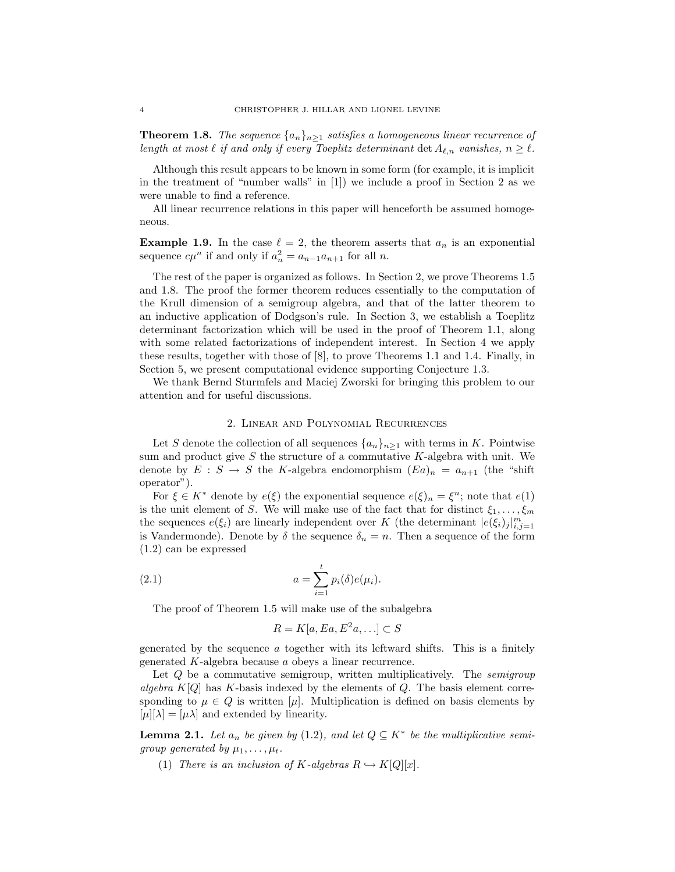**Theorem 1.8.** The sequence  $\{a_n\}_{n>1}$  satisfies a homogeneous linear recurrence of length at most  $\ell$  if and only if every Toeplitz determinant det  $A_{\ell,n}$  vanishes,  $n \geq \ell$ .

Although this result appears to be known in some form (for example, it is implicit in the treatment of "number walls" in [1]) we include a proof in Section 2 as we were unable to find a reference.

All linear recurrence relations in this paper will henceforth be assumed homogeneous.

**Example 1.9.** In the case  $\ell = 2$ , the theorem asserts that  $a_n$  is an exponential sequence  $c\mu^n$  if and only if  $a_n^2 = a_{n-1}a_{n+1}$  for all n.

The rest of the paper is organized as follows. In Section 2, we prove Theorems 1.5 and 1.8. The proof the former theorem reduces essentially to the computation of the Krull dimension of a semigroup algebra, and that of the latter theorem to an inductive application of Dodgson's rule. In Section 3, we establish a Toeplitz determinant factorization which will be used in the proof of Theorem 1.1, along with some related factorizations of independent interest. In Section 4 we apply these results, together with those of [8], to prove Theorems 1.1 and 1.4. Finally, in Section 5, we present computational evidence supporting Conjecture 1.3.

We thank Bernd Sturmfels and Maciej Zworski for bringing this problem to our attention and for useful discussions.

### 2. Linear and Polynomial Recurrences

Let S denote the collection of all sequences  $\{a_n\}_{n\geq 1}$  with terms in K. Pointwise sum and product give  $S$  the structure of a commutative  $K$ -algebra with unit. We denote by  $E : S \to S$  the K-algebra endomorphism  $(Ea)_n = a_{n+1}$  (the "shift") operator").

For  $\xi \in K^*$  denote by  $e(\xi)$  the exponential sequence  $e(\xi)_n = \xi^n$ ; note that  $e(1)$ is the unit element of S. We will make use of the fact that for distinct  $\xi_1, \ldots, \xi_m$ the sequences  $e(\xi_i)$  are linearly independent over K (the determinant  $|e(\xi_i)_j|_{i,j=1}^m$ is Vandermonde). Denote by  $\delta$  the sequence  $\delta_n = n$ . Then a sequence of the form (1.2) can be expressed

(2.1) 
$$
a = \sum_{i=1}^{t} p_i(\delta) e(\mu_i).
$$

The proof of Theorem 1.5 will make use of the subalgebra

$$
R = K[a, Ea, E^2a, \ldots] \subset S
$$

generated by the sequence a together with its leftward shifts. This is a finitely generated K-algebra because a obeys a linear recurrence.

Let Q be a commutative semigroup, written multiplicatively. The *semigroup* algebra  $K[Q]$  has K-basis indexed by the elements of Q. The basis element corresponding to  $\mu \in Q$  is written [ $\mu$ ]. Multiplication is defined on basis elements by  $[\mu][\lambda] = [\mu \lambda]$  and extended by linearity.

**Lemma 2.1.** Let  $a_n$  be given by (1.2), and let  $Q \subseteq K^*$  be the multiplicative semigroup generated by  $\mu_1, \ldots, \mu_t$ .

(1) There is an inclusion of K-algebras  $R \hookrightarrow K[Q][x]$ .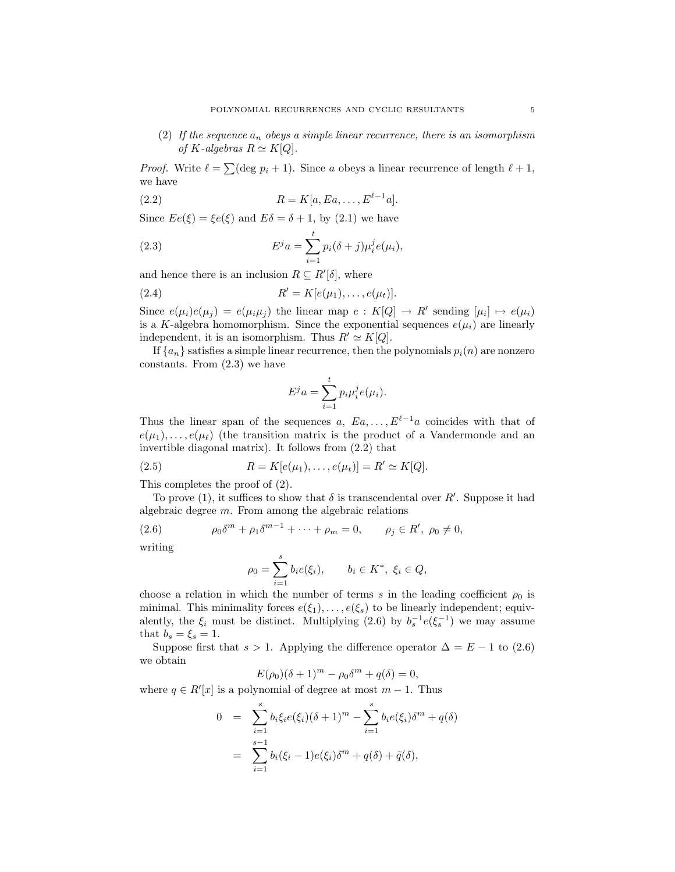(2) If the sequence  $a_n$  obeys a simple linear recurrence, there is an isomorphism of K-algebras  $R \simeq K[Q]$ .

*Proof.* Write  $\ell = \sum (\deg p_i + 1)$ . Since a obeys a linear recurrence of length  $\ell + 1$ , we have

$$
(2.2) \t\t R = K[a, Ea, \dots, E^{\ell-1}a].
$$

Since  $Ee(\xi) = \xi e(\xi)$  and  $E\delta = \delta + 1$ , by (2.1) we have

(2.3) 
$$
E^{j} a = \sum_{i=1}^{t} p_{i} (\delta + j) \mu_{i}^{j} e(\mu_{i}),
$$

and hence there is an inclusion  $R \subseteq R'[\delta]$ , where

(2.4) 
$$
R' = K[e(\mu_1), \dots, e(\mu_t)].
$$

Since  $e(\mu_i)e(\mu_j) = e(\mu_i\mu_j)$  the linear map  $e: K[Q] \to R'$  sending  $[\mu_i] \mapsto e(\mu_i)$ is a K-algebra homomorphism. Since the exponential sequences  $e(\mu_i)$  are linearly independent, it is an isomorphism. Thus  $R' \simeq K[Q]$ .

If  $\{a_n\}$  satisfies a simple linear recurrence, then the polynomials  $p_i(n)$  are nonzero constants. From (2.3) we have

$$
E^j a = \sum_{i=1}^t p_i \mu_i^j e(\mu_i).
$$

Thus the linear span of the sequences a,  $E_a, \ldots, E^{\ell-1}a$  coincides with that of  $e(\mu_1), \ldots, e(\mu_\ell)$  (the transition matrix is the product of a Vandermonde and an invertible diagonal matrix). It follows from (2.2) that

(2.5) 
$$
R = K[e(\mu_1), \dots, e(\mu_t)] = R' \simeq K[Q].
$$

This completes the proof of (2).

To prove (1), it suffices to show that  $\delta$  is transcendental over  $R'$ . Suppose it had algebraic degree  $m$ . From among the algebraic relations

(2.6) 
$$
\rho_0 \delta^m + \rho_1 \delta^{m-1} + \cdots + \rho_m = 0, \qquad \rho_j \in R', \ \rho_0 \neq 0,
$$

writing

$$
\rho_0 = \sum_{i=1}^s b_i e(\xi_i), \qquad b_i \in K^*, \ \xi_i \in Q,
$$

choose a relation in which the number of terms s in the leading coefficient  $\rho_0$  is minimal. This minimality forces  $e(\xi_1), \ldots, e(\xi_s)$  to be linearly independent; equivalently, the  $\xi_i$  must be distinct. Multiplying (2.6) by  $b_s^{-1}e(\xi_s^{-1})$  we may assume that  $b_s = \xi_s = 1$ .

Suppose first that  $s > 1$ . Applying the difference operator  $\Delta = E - 1$  to (2.6) we obtain

$$
E(\rho_0)(\delta+1)^m - \rho_0 \delta^m + q(\delta) = 0,
$$

where  $q \in R'[x]$  is a polynomial of degree at most  $m-1$ . Thus

$$
0 = \sum_{i=1}^{s} b_i \xi_i e(\xi_i) (\delta + 1)^m - \sum_{i=1}^{s} b_i e(\xi_i) \delta^m + q(\delta)
$$
  
= 
$$
\sum_{i=1}^{s-1} b_i (\xi_i - 1) e(\xi_i) \delta^m + q(\delta) + \tilde{q}(\delta),
$$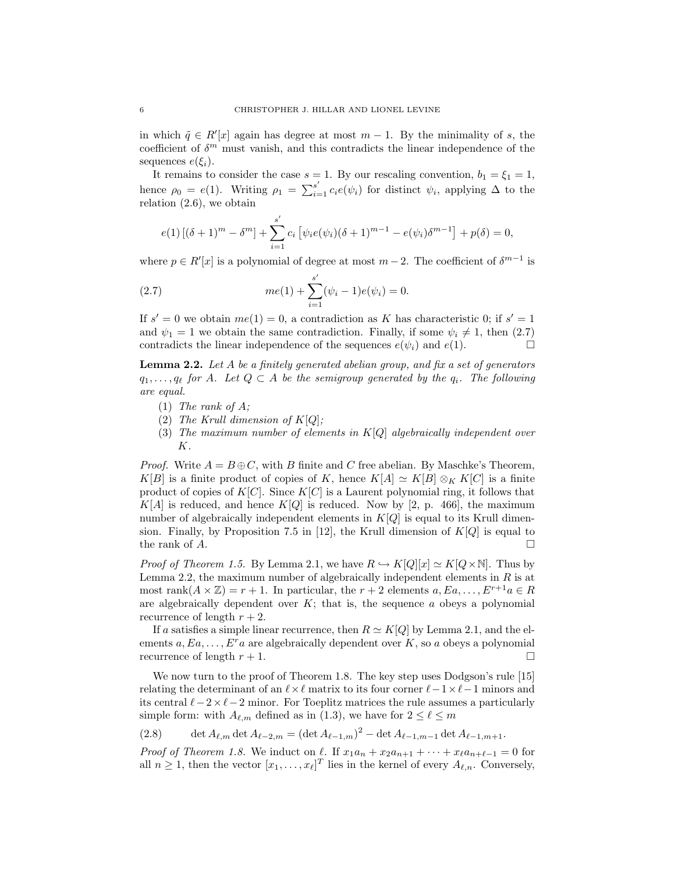in which  $\tilde{q} \in R'[x]$  again has degree at most  $m-1$ . By the minimality of s, the coefficient of  $\delta^m$  must vanish, and this contradicts the linear independence of the sequences  $e(\xi_i)$ .

It remains to consider the case  $s = 1$ . By our rescaling convention,  $b_1 = \xi_1 = 1$ , hence  $\rho_0 = e(1)$ . Writing  $\rho_1 = \sum_{i=1}^{s'} c_i e(\psi_i)$  for distinct  $\psi_i$ , applying  $\Delta$  to the relation (2.6), we obtain

$$
e(1) [(\delta + 1)^m - \delta^m] + \sum_{i=1}^{s'} c_i [\psi_i e(\psi_i)(\delta + 1)^{m-1} - e(\psi_i)\delta^{m-1}] + p(\delta) = 0,
$$

where  $p \in R'[x]$  is a polynomial of degree at most  $m-2$ . The coefficient of  $\delta^{m-1}$  is

(2.7) 
$$
me(1) + \sum_{i=1}^{s'} (\psi_i - 1)e(\psi_i) = 0.
$$

If  $s' = 0$  we obtain  $me(1) = 0$ , a contradiction as K has characteristic 0; if  $s' = 1$ and  $\psi_1 = 1$  we obtain the same contradiction. Finally, if some  $\psi_i \neq 1$ , then (2.7) contradicts the linear independence of the sequences  $e(\psi_i)$  and  $e(1)$ contradicts the linear independence of the sequences  $e(\psi_i)$  and  $e(1)$ .

**Lemma 2.2.** Let  $A$  be a finitely generated abelian group, and fix a set of generators  $q_1, \ldots, q_\ell$  for A. Let  $Q \subset A$  be the semigroup generated by the  $q_i$ . The following are equal.

- (1) The rank of  $A$ ;
- (2) The Krull dimension of  $K[Q]$ ;
- (3) The maximum number of elements in  $K[Q]$  algebraically independent over K.

*Proof.* Write  $A = B \oplus C$ , with B finite and C free abelian. By Maschke's Theorem, K[B] is a finite product of copies of K, hence  $K[A] \simeq K[B] \otimes_K K[C]$  is a finite product of copies of  $K[C]$ . Since  $K[C]$  is a Laurent polynomial ring, it follows that  $K[A]$  is reduced, and hence  $K[Q]$  is reduced. Now by [2, p. 466], the maximum number of algebraically independent elements in  $K[Q]$  is equal to its Krull dimension. Finally, by Proposition 7.5 in [12], the Krull dimension of  $K[Q]$  is equal to the rank of  $A$ .

*Proof of Theorem 1.5.* By Lemma 2.1, we have  $R \hookrightarrow K[Q][x] \simeq K[Q \times \mathbb{N}]$ . Thus by Lemma 2.2, the maximum number of algebraically independent elements in  $R$  is at most rank $(A \times \mathbb{Z}) = r + 1$ . In particular, the  $r + 2$  elements  $a, Ea, \ldots, E^{r+1}a \in R$ are algebraically dependent over  $K$ ; that is, the sequence  $a$  obeys a polynomial recurrence of length  $r + 2$ .

If a satisfies a simple linear recurrence, then  $R \simeq K[Q]$  by Lemma 2.1, and the elements  $a, Ea, \ldots, E^r a$  are algebraically dependent over K, so a obeys a polynomial recurrence of length  $r + 1$ .

We now turn to the proof of Theorem 1.8. The key step uses Dodgson's rule [15] relating the determinant of an  $\ell \times \ell$  matrix to its four corner  $\ell - 1 \times \ell - 1$  minors and its central  $\ell - 2 \times \ell - 2$  minor. For Toeplitz matrices the rule assumes a particularly simple form: with  $A_{\ell,m}$  defined as in (1.3), we have for  $2 \leq \ell \leq m$ 

(2.8) det  $A_{\ell,m}$  det  $A_{\ell-2,m} = (\det A_{\ell-1,m})^2 - \det A_{\ell-1,m-1} \det A_{\ell-1,m+1}.$ 

*Proof of Theorem 1.8.* We induct on  $\ell$ . If  $x_1a_n + x_2a_{n+1} + \cdots + x_\ell a_{n+\ell-1} = 0$  for all  $n \geq 1$ , then the vector  $[x_1, \ldots, x_\ell]^T$  lies in the kernel of every  $A_{\ell,n}$ . Conversely,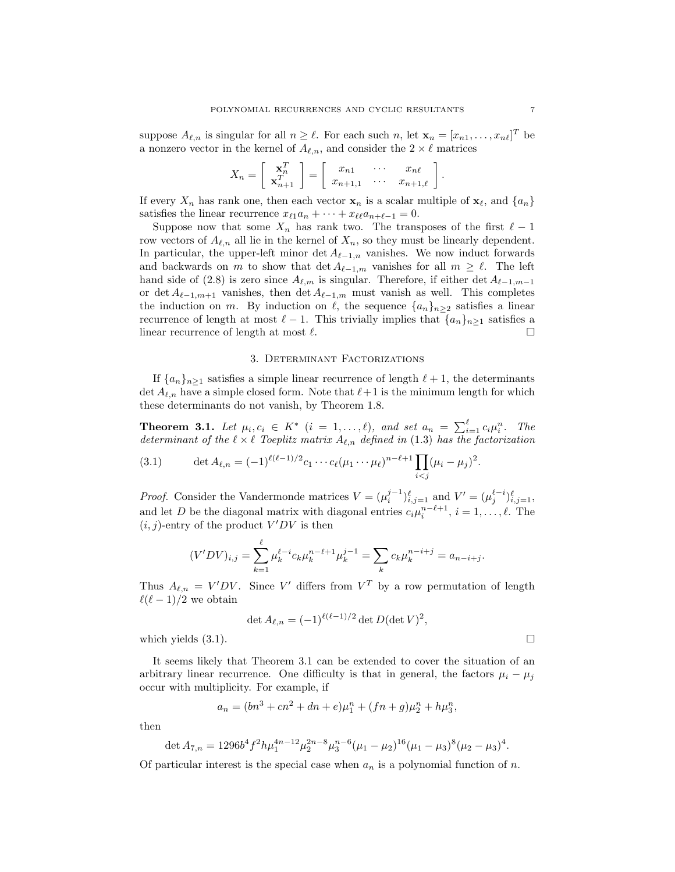suppose  $A_{\ell,n}$  is singular for all  $n \geq \ell$ . For each such  $n$ , let  $\mathbf{x}_n = [x_{n1}, \dots, x_{n\ell}]^T$  be a nonzero vector in the kernel of  $A_{\ell,n}$ , and consider the  $2 \times \ell$  matrices

$$
X_n = \left[ \begin{array}{c} \mathbf{x}_n^T \\ \mathbf{x}_{n+1}^T \end{array} \right] = \left[ \begin{array}{ccc} x_{n1} & \cdots & x_{n\ell} \\ x_{n+1,1} & \cdots & x_{n+1,\ell} \end{array} \right].
$$

If every  $X_n$  has rank one, then each vector  $\mathbf{x}_n$  is a scalar multiple of  $\mathbf{x}_\ell$ , and  $\{a_n\}$ satisfies the linear recurrence  $x_{\ell 1}a_n + \cdots + x_{\ell \ell}a_{n+\ell-1} = 0$ .

Suppose now that some  $X_n$  has rank two. The transposes of the first  $\ell - 1$ row vectors of  $A_{\ell,n}$  all lie in the kernel of  $X_n$ , so they must be linearly dependent. In particular, the upper-left minor det  $A_{\ell-1,n}$  vanishes. We now induct forwards and backwards on m to show that  $\det A_{\ell-1,m}$  vanishes for all  $m \geq \ell$ . The left hand side of (2.8) is zero since  $A_{\ell,m}$  is singular. Therefore, if either det  $A_{\ell-1,m-1}$ or det  $A_{\ell-1,m+1}$  vanishes, then det  $A_{\ell-1,m}$  must vanish as well. This completes the induction on m. By induction on  $\ell$ , the sequence  $\{a_n\}_{n\geq 2}$  satisfies a linear recurrence of length at most  $\ell - 1$ . This trivially implies that  $\{a_n\}_{n\geq 1}$  satisfies a linear recurrence of length at most  $\ell$ linear recurrence of length at most  $\ell$ .

# 3. Determinant Factorizations

If  $\{a_n\}_{n>1}$  satisfies a simple linear recurrence of length  $\ell + 1$ , the determinants det  $A_{\ell,n}$  have a simple closed form. Note that  $\ell+1$  is the minimum length for which these determinants do not vanish, by Theorem 1.8.

**Theorem 3.1.** Let  $\mu_i, c_i \in K^*$   $(i = 1, \ldots, \ell)$ , and set  $a_n = \sum_{i=1}^{\ell} c_i \mu_i^n$ . The determinant of the  $\ell \times \ell$  Toeplitz matrix  $A_{\ell,n}$  defined in (1.3) has the factorization

(3.1) 
$$
\det A_{\ell,n} = (-1)^{\ell(\ell-1)/2} c_1 \cdots c_{\ell} (\mu_1 \cdots \mu_{\ell})^{n-\ell+1} \prod_{i < j} (\mu_i - \mu_j)^2.
$$

*Proof.* Consider the Vandermonde matrices  $V = (\mu_i^{j-1})_{i,j=1}^{\ell}$  and  $V' = (\mu_j^{\ell-i})_{i,j=1}^{\ell}$ , and let D be the diagonal matrix with diagonal entries  $c_i\mu_i^{n-\ell+1}, i = 1, \ldots, \ell$ . The  $(i, j)$ -entry of the product  $V'DV$  is then

$$
(V'DV)_{i,j} = \sum_{k=1}^{\ell} \mu_k^{\ell-i} c_k \mu_k^{n-\ell+1} \mu_k^{j-1} = \sum_k c_k \mu_k^{n-i+j} = a_{n-i+j}.
$$

Thus  $A_{\ell,n} = V'DV$ . Since V' differs from  $V^T$  by a row permutation of length  $\ell(\ell-1)/2$  we obtain

$$
\det A_{\ell,n} = (-1)^{\ell(\ell-1)/2} \det D(\det V)^2,
$$

which yields  $(3.1)$ .

It seems likely that Theorem 3.1 can be extended to cover the situation of an arbitrary linear recurrence. One difficulty is that in general, the factors  $\mu_i - \mu_j$ occur with multiplicity. For example, if

$$
a_n = (bn^3 + cn^2 + dn + e)\mu_1^n + (fn + g)\mu_2^n + h\mu_3^n,
$$

then

$$
\det A_{7,n} = 1296b^4f^2h\mu_1^{4n-12}\mu_2^{2n-8}\mu_3^{n-6}(\mu_1 - \mu_2)^{16}(\mu_1 - \mu_3)^8(\mu_2 - \mu_3)^4.
$$

Of particular interest is the special case when  $a_n$  is a polynomial function of n.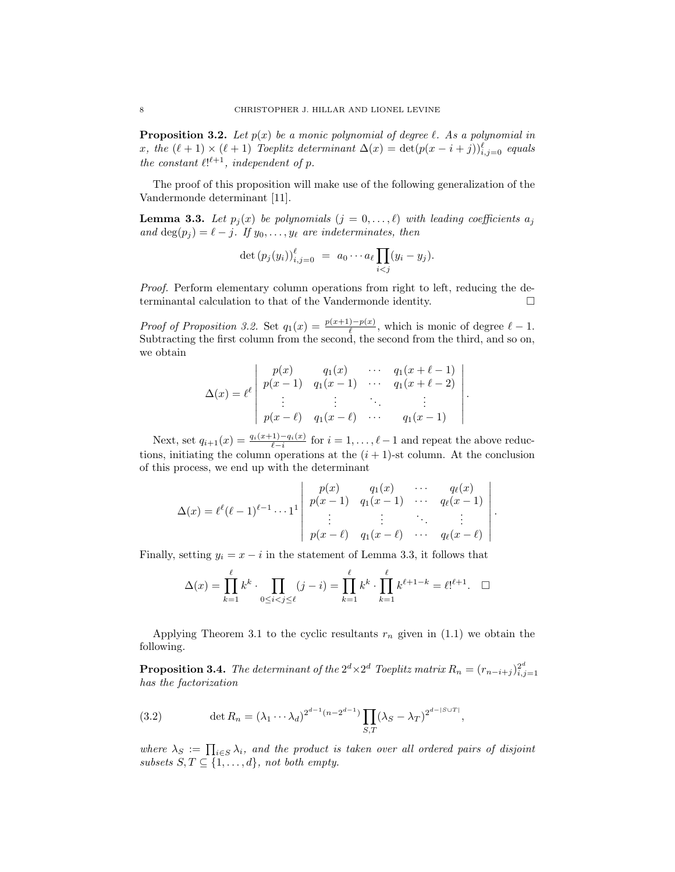**Proposition 3.2.** Let  $p(x)$  be a monic polynomial of degree  $\ell$ . As a polynomial in x, the  $(\ell + 1) \times (\ell + 1)$  Toeplitz determinant  $\Delta(x) = \det(p(x - i + j))_{i,j=0}^{\ell}$  equals the constant  $\ell!^{\ell+1}$ , independent of p.

The proof of this proposition will make use of the following generalization of the Vandermonde determinant [11].

**Lemma 3.3.** Let  $p_i(x)$  be polynomials  $(j = 0, \ldots, \ell)$  with leading coefficients  $a_i$ and  $\deg(p_j) = \ell - j$ . If  $y_0, \ldots, y_\ell$  are indeterminates, then

$$
\det (p_j(y_i))_{i,j=0}^{\ell} = a_0 \cdots a_{\ell} \prod_{i < j} (y_i - y_j).
$$

Proof. Perform elementary column operations from right to left, reducing the determinantal calculation to that of the Vandermonde identity. !

*Proof of Proposition 3.2.* Set  $q_1(x) = \frac{p(x+1)-p(x)}{\ell}$ , which is monic of degree  $\ell - 1$ . Subtracting the first column from the second, the second from the third, and so on, we obtain

$$
\Delta(x) = \ell^{\ell} \begin{vmatrix} p(x) & q_1(x) & \cdots & q_1(x+\ell-1) \\ p(x-1) & q_1(x-1) & \cdots & q_1(x+\ell-2) \\ \vdots & \vdots & \ddots & \vdots \\ p(x-\ell) & q_1(x-\ell) & \cdots & q_1(x-1) \end{vmatrix}
$$

.

.

Next, set  $q_{i+1}(x) = \frac{q_i(x+1) - q_i(x)}{\ell - i}$  for  $i = 1, \ldots, \ell - 1$  and repeat the above reductions, initiating the column operations at the  $(i + 1)$ -st column. At the conclusion of this process, we end up with the determinant

$$
\Delta(x) = \ell^{\ell}(\ell-1)^{\ell-1} \cdots 1^{1} \begin{vmatrix} p(x) & q_1(x) & \cdots & q_{\ell}(x) \\ p(x-1) & q_1(x-1) & \cdots & q_{\ell}(x-1) \\ \vdots & \vdots & \ddots & \vdots \\ p(x-\ell) & q_1(x-\ell) & \cdots & q_{\ell}(x-\ell) \end{vmatrix}
$$

Finally, setting  $y_i = x - i$  in the statement of Lemma 3.3, it follows that

$$
\Delta(x) = \prod_{k=1}^{\ell} k^k \cdot \prod_{0 \le i < j \le \ell} (j - i) = \prod_{k=1}^{\ell} k^k \cdot \prod_{k=1}^{\ell} k^{\ell+1-k} = \ell!^{\ell+1}. \quad \Box
$$

Applying Theorem 3.1 to the cyclic resultants  $r_n$  given in (1.1) we obtain the following.

**Proposition 3.4.** The determinant of the  $2^d \times 2^d$  Toeplitz matrix  $R_n = (r_{n-i+j})_{i,j=1}^{2^d}$ has the factorization

(3.2) 
$$
\det R_n = (\lambda_1 \cdots \lambda_d)^{2^{d-1}(n-2^{d-1})} \prod_{S,T} (\lambda_S - \lambda_T)^{2^{d-|S \cup T|}},
$$

where  $\lambda_S := \prod_{i \in S} \lambda_i$ , and the product is taken over all ordered pairs of disjoint subsets  $S, T \subseteq \{1, \ldots, d\}$ , not both empty.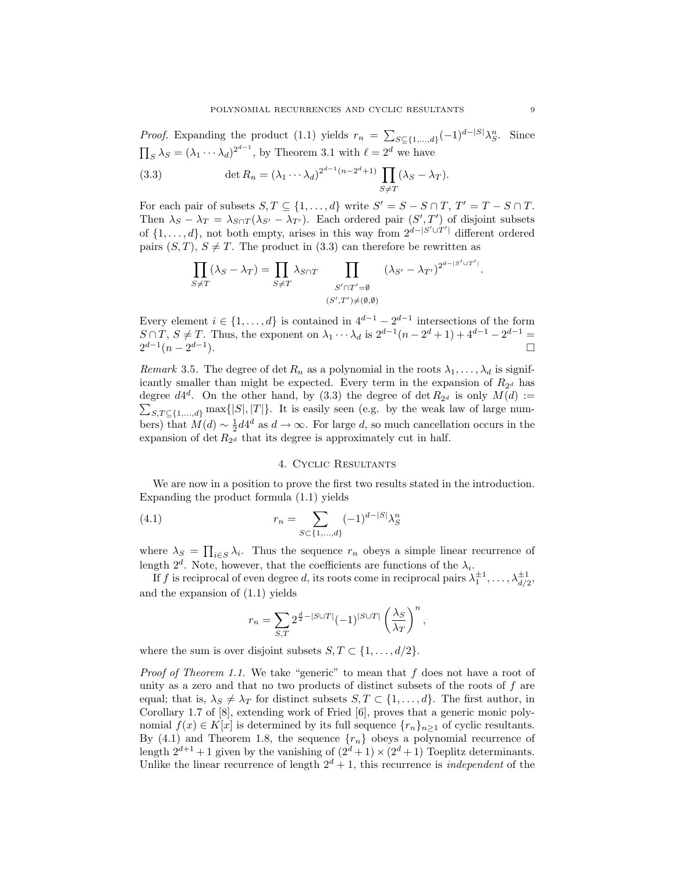*Proof.* Expanding the product (1.1) yields  $r_n = \sum_{S \subseteq \{1,\ldots,d\}} (-1)^{d-|S|} \lambda_S^n$ . Since  $\prod_S \lambda_S = (\lambda_1 \cdots \lambda_d)^{2^{d-1}}$ , by Theorem 3.1 with  $\ell = 2^d$  we have

(3.3) 
$$
\det R_n = (\lambda_1 \cdots \lambda_d)^{2^{d-1}(n-2^d+1)} \prod_{S \neq T} (\lambda_S - \lambda_T).
$$

For each pair of subsets  $S, T \subseteq \{1, ..., d\}$  write  $S' = S - S \cap T$ ,  $T' = T - S \cap T$ . Then  $\lambda_S - \lambda_T = \lambda_{S \cap T} (\lambda_{S'} - \lambda_{T'})$ . Each ordered pair  $(S', T')$  of disjoint subsets of  $\{1, \ldots, d\}$ , not both empty, arises in this way from  $2^{d-|S' \cup T'|}$  different ordered pairs  $(S, T)$ ,  $S \neq T$ . The product in  $(3.3)$  can therefore be rewritten as

$$
\prod_{S \neq T} (\lambda_S - \lambda_T) = \prod_{S \neq T} \lambda_{S \cap T} \prod_{\substack{S' \cap T' = \emptyset \\ (S',T') \neq (\emptyset, \emptyset)}} (\lambda_{S'} - \lambda_{T'})^{2^{d - |S' \cup T'|}}.
$$

Every element  $i \in \{1, ..., d\}$  is contained in  $4^{d-1} - 2^{d-1}$  intersections of the form  $S \cap T$ ,  $S \neq T$ . Thus, the exponent on  $\lambda_1 \cdots \lambda_d$  is  $2^{d-1}(n-2^d+1) + 4^{d-1} - 2^{d-1} = 2^{d-1}(n-2^{d-1})$  $2^{d-1}(n-2^{d-1}).$ 

Remark 3.5. The degree of det  $R_n$  as a polynomial in the roots  $\lambda_1, \ldots, \lambda_d$  is significantly smaller than might be expected. Every term in the expansion of  $R_{2^d}$  has degree  $d4^d$ . On the other hand, by (3.3) the degree of det  $R_{2^d}$  is only  $M(d) := \sum_{S \subset T \subset \{1,\ldots,d\}} \max\{|S|, |T|\}$ . It is easily seen (e.g. by the weak law of large num- $\sum_{S,T \subseteq \{1,\ldots,d\}} \max\{|S|,|T|\}.$  It is easily seen (e.g. by the weak law of large numbers) that  $M(d) \sim \frac{1}{2} d4^d$  as  $d \to \infty$ . For large d, so much cancellation occurs in the expansion of  $\det R_{2^d}$  that its degree is approximately cut in half.

### 4. Cyclic Resultants

We are now in a position to prove the first two results stated in the introduction. Expanding the product formula (1.1) yields

(4.1) 
$$
r_n = \sum_{S \subset \{1, ..., d\}} (-1)^{d - |S|} \lambda_S^n
$$

where  $\lambda_S = \prod_{i \in S} \lambda_i$ . Thus the sequence  $r_n$  obeys a simple linear recurrence of length  $2^d$ . Note, however, that the coefficients are functions of the  $\lambda_i$ .

If f is reciprocal of even degree d, its roots come in reciprocal pairs  $\lambda_1^{\pm 1}, \ldots, \lambda_{d/2}^{\pm 1}$ , and the expansion of (1.1) yields

$$
r_n = \sum_{S,T} 2^{\frac{d}{2} - |S \cup T|} (-1)^{|S \cup T|} \left( \frac{\lambda_S}{\lambda_T} \right)^n,
$$

where the sum is over disjoint subsets  $S, T \subset \{1, \ldots, d/2\}.$ 

*Proof of Theorem 1.1.* We take "generic" to mean that  $f$  does not have a root of unity as a zero and that no two products of distinct subsets of the roots of  $f$  are equal; that is,  $\lambda_S \neq \lambda_T$  for distinct subsets  $S, T \subset \{1, \ldots, d\}$ . The first author, in Corollary 1.7 of [8], extending work of Fried [6], proves that a generic monic polynomial  $f(x) \in K[x]$  is determined by its full sequence  $\{r_n\}_{n\geq 1}$  of cyclic resultants. By (4.1) and Theorem 1.8, the sequence  $\{r_n\}$  obeys a polynomial recurrence of length  $2^{d+1} + 1$  given by the vanishing of  $(2^d + 1) \times (2^d + 1)$  Toeplitz determinants. Unlike the linear recurrence of length  $2^d + 1$ , this recurrence is *independent* of the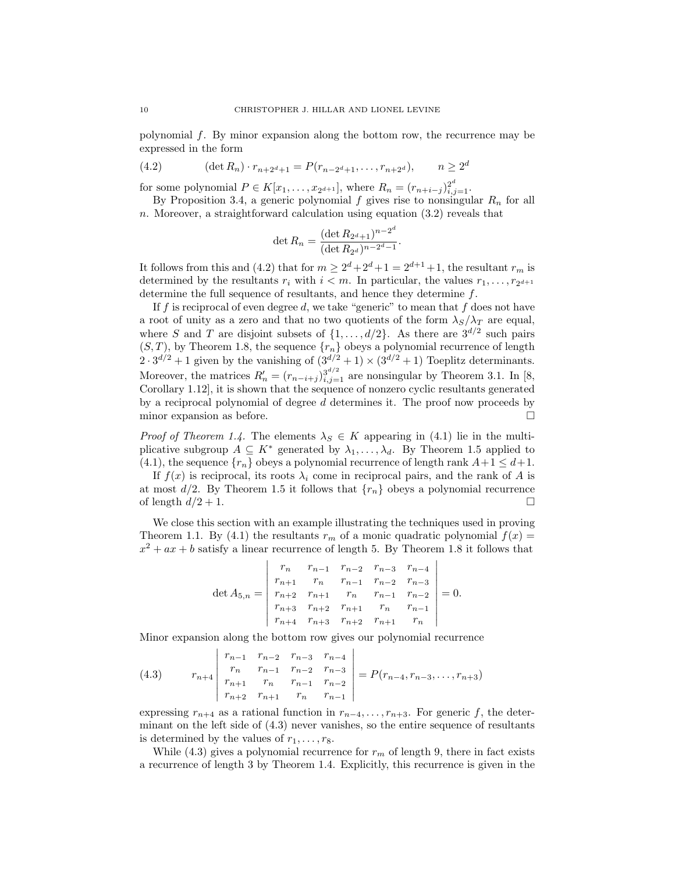polynomial f. By minor expansion along the bottom row, the recurrence may be expressed in the form

(4.2) 
$$
(\det R_n) \cdot r_{n+2^d+1} = P(r_{n-2^d+1}, \dots, r_{n+2^d}), \qquad n \ge 2^d
$$

for some polynomial  $P \in K[x_1, \ldots, x_{2^{d+1}}]$ , where  $R_n = (r_{n+i-j})_{i,j=1}^{2^d}$ .

By Proposition 3.4, a generic polynomial f gives rise to nonsingular  $R_n$  for all n. Moreover, a straightforward calculation using equation  $(3.2)$  reveals that

$$
\det R_n = \frac{(\det R_{2^d+1})^{n-2^d}}{(\det R_{2^d})^{n-2^d-1}}.
$$

It follows from this and (4.2) that for  $m \geq 2^d + 2^d + 1 = 2^{d+1} + 1$ , the resultant  $r_m$  is determined by the resultants  $r_i$  with  $i < m$ . In particular, the values  $r_1, \ldots, r_{2^{d+1}}$ determine the full sequence of resultants, and hence they determine  $f$ .

If f is reciprocal of even degree d, we take "generic" to mean that f does not have a root of unity as a zero and that no two quotients of the form  $\lambda_S/\lambda_T$  are equal, where S and T are disjoint subsets of  $\{1, \ldots, d/2\}$ . As there are  $3^{d/2}$  such pairs  $(S, T)$ , by Theorem 1.8, the sequence  $\{r_n\}$  obeys a polynomial recurrence of length  $2 \cdot 3^{d/2} + 1$  given by the vanishing of  $(3^{d/2} + 1) \times (3^{d/2} + 1)$  Toeplitz determinants. Moreover, the matrices  $R'_n = (r_{n-i+j})_{i,j=1}^{3^{d/2}}$  are nonsingular by Theorem 3.1. In [8, Corollary 1.12], it is shown that the sequence of nonzero cyclic resultants generated by a reciprocal polynomial of degree d determines it. The proof now proceeds by minor expansion as before.  $\Box$ 

*Proof of Theorem 1.4.* The elements  $\lambda_S \in K$  appearing in (4.1) lie in the multiplicative subgroup  $A \subseteq K^*$  generated by  $\lambda_1, \ldots, \lambda_d$ . By Theorem 1.5 applied to (4.1), the sequence  $\{r_n\}$  obeys a polynomial recurrence of length rank  $A+1 \leq d+1$ .

If  $f(x)$  is reciprocal, its roots  $\lambda_i$  come in reciprocal pairs, and the rank of A is at most  $d/2$ . By Theorem 1.5 it follows that  $\{r_n\}$  obeys a polynomial recurrence of length  $d/2 + 1$ of length  $d/2 + 1$ .

We close this section with an example illustrating the techniques used in proving Theorem 1.1. By (4.1) the resultants  $r_m$  of a monic quadratic polynomial  $f(x) =$  $x^2 + ax + b$  satisfy a linear recurrence of length 5. By Theorem 1.8 it follows that

$$
\det A_{5,n} = \begin{vmatrix} r_n & r_{n-1} & r_{n-2} & r_{n-3} & r_{n-4} \\ r_{n+1} & r_n & r_{n-1} & r_{n-2} & r_{n-3} \\ r_{n+2} & r_{n+1} & r_n & r_{n-1} & r_{n-2} \\ r_{n+3} & r_{n+2} & r_{n+1} & r_n & r_{n-1} \\ r_{n+4} & r_{n+3} & r_{n+2} & r_{n+1} & r_n \end{vmatrix} = 0.
$$

Minor expansion along the bottom row gives our polynomial recurrence

(4.3) 
$$
r_{n+4} \begin{vmatrix} r_{n-1} & r_{n-2} & r_{n-3} & r_{n-4} \\ r_n & r_{n-1} & r_{n-2} & r_{n-3} \\ r_{n+1} & r_n & r_{n-1} & r_{n-2} \\ r_{n+2} & r_{n+1} & r_n & r_{n-1} \end{vmatrix} = P(r_{n-4}, r_{n-3}, \dots, r_{n+3})
$$

expressing  $r_{n+4}$  as a rational function in  $r_{n-4}, \ldots, r_{n+3}$ . For generic f, the determinant on the left side of (4.3) never vanishes, so the entire sequence of resultants is determined by the values of  $r_1, \ldots, r_8$ .

While (4.3) gives a polynomial recurrence for  $r_m$  of length 9, there in fact exists a recurrence of length 3 by Theorem 1.4. Explicitly, this recurrence is given in the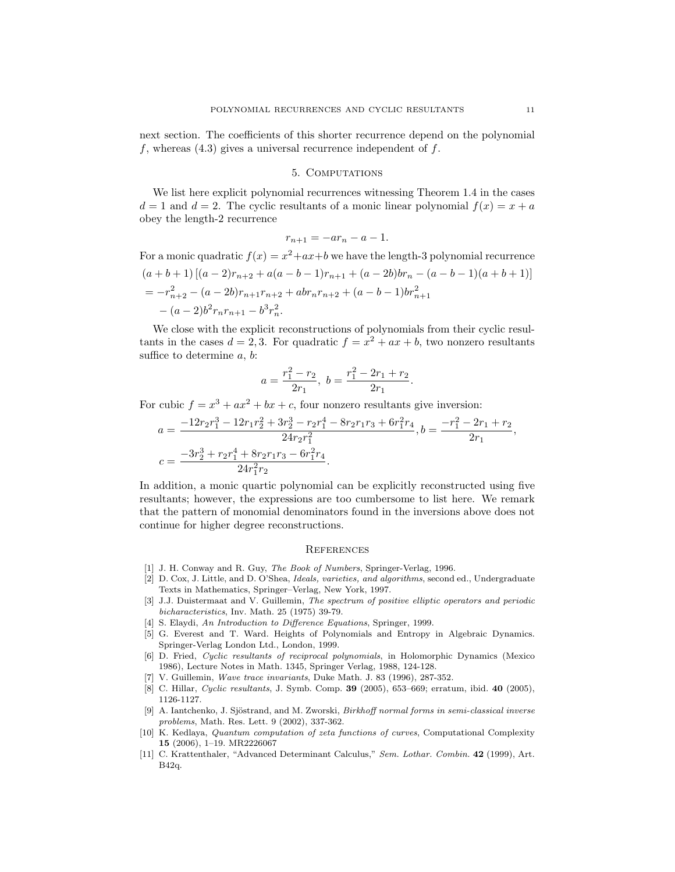next section. The coefficients of this shorter recurrence depend on the polynomial f, whereas  $(4.3)$  gives a universal recurrence independent of f.

## 5. Computations

We list here explicit polynomial recurrences witnessing Theorem 1.4 in the cases  $d = 1$  and  $d = 2$ . The cyclic resultants of a monic linear polynomial  $f(x) = x + a$ obey the length-2 recurrence

$$
r_{n+1} = -ar_n - a - 1.
$$

For a monic quadratic  $f(x) = x^2+ax+b$  we have the length-3 polynomial recurrence  $(a + b + 1)[(a - 2)r_{n+2} + a(a - b - 1)r_{n+1} + (a - 2b)br_n - (a - b - 1)(a + b + 1)]$  $= -r_{n+2}^2 - (a - 2b)r_{n+1}r_{n+2} + abr_nr_{n+2} + (a - b - 1)br_{n+1}^2$  $- (a-2)b^2 r_n r_{n+1} - b^3 r_n^2$ .

We close with the explicit reconstructions of polynomials from their cyclic resultants in the cases  $d = 2, 3$ . For quadratic  $f = x^2 + ax + b$ , two nonzero resultants suffice to determine a, b:

$$
a = \frac{r_1^2 - r_2}{2r_1}, \ b = \frac{r_1^2 - 2r_1 + r_2}{2r_1}.
$$

For cubic  $f = x^3 + ax^2 + bx + c$ , four nonzero resultants give inversion:

$$
a = \frac{-12r_2r_1^3 - 12r_1r_2^2 + 3r_2^3 - r_2r_1^4 - 8r_2r_1r_3 + 6r_1^2r_4}{24r_2r_1^2}, b = \frac{-r_1^2 - 2r_1 + r_2}{2r_1},
$$
  

$$
c = \frac{-3r_2^3 + r_2r_1^4 + 8r_2r_1r_3 - 6r_1^2r_4}{24r_1^2r_2}.
$$

In addition, a monic quartic polynomial can be explicitly reconstructed using five resultants; however, the expressions are too cumbersome to list here. We remark that the pattern of monomial denominators found in the inversions above does not continue for higher degree reconstructions.

### **REFERENCES**

- [1] J. H. Conway and R. Guy, The Book of Numbers, Springer-Verlag, 1996.
- [2] D. Cox, J. Little, and D. O'Shea, Ideals, varieties, and algorithms, second ed., Undergraduate Texts in Mathematics, Springer–Verlag, New York, 1997.
- [3] J.J. Duistermaat and V. Guillemin, The spectrum of positive elliptic operators and periodic bicharacteristics, Inv. Math. 25 (1975) 39-79.
- [4] S. Elaydi, An Introduction to Difference Equations, Springer, 1999.
- [5] G. Everest and T. Ward. Heights of Polynomials and Entropy in Algebraic Dynamics. Springer-Verlag London Ltd., London, 1999.
- [6] D. Fried, Cyclic resultants of reciprocal polynomials, in Holomorphic Dynamics (Mexico 1986), Lecture Notes in Math. 1345, Springer Verlag, 1988, 124-128.
- [7] V. Guillemin, Wave trace invariants, Duke Math. J. 83 (1996), 287-352.
- [8] C. Hillar, Cyclic resultants, J. Symb. Comp. 39 (2005), 653–669; erratum, ibid. 40 (2005), 1126-1127.
- [9] A. Iantchenko, J. Sjöstrand, and M. Zworski, *Birkhoff normal forms in semi-classical inverse* problems, Math. Res. Lett. 9 (2002), 337-362.
- [10] K. Kedlaya, Quantum computation of zeta functions of curves, Computational Complexity 15 (2006), 1–19. MR2226067
- [11] C. Krattenthaler, "Advanced Determinant Calculus," Sem. Lothar. Combin. 42 (1999), Art. B42q.